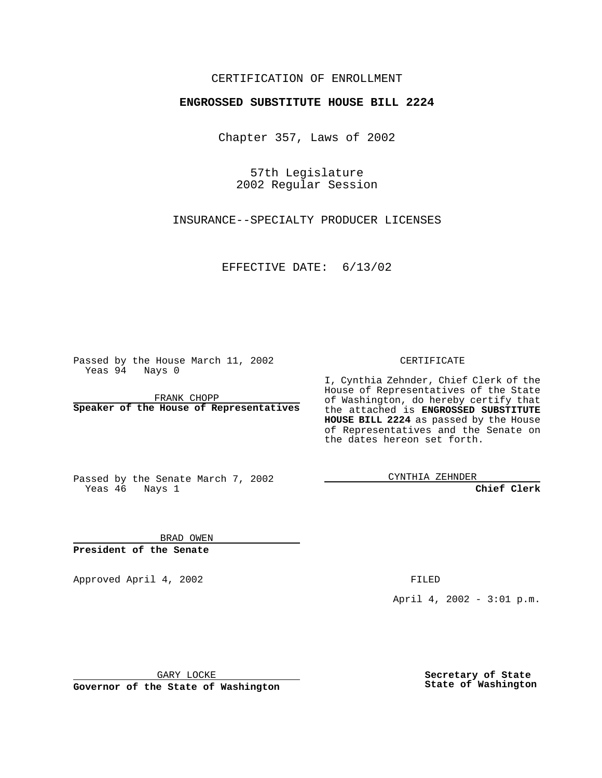## CERTIFICATION OF ENROLLMENT

## **ENGROSSED SUBSTITUTE HOUSE BILL 2224**

Chapter 357, Laws of 2002

57th Legislature 2002 Regular Session

INSURANCE--SPECIALTY PRODUCER LICENSES

EFFECTIVE DATE: 6/13/02

Passed by the House March 11, 2002 Yeas 94 Nays 0

FRANK CHOPP **Speaker of the House of Representatives** CERTIFICATE

I, Cynthia Zehnder, Chief Clerk of the House of Representatives of the State of Washington, do hereby certify that the attached is **ENGROSSED SUBSTITUTE HOUSE BILL 2224** as passed by the House of Representatives and the Senate on the dates hereon set forth.

Passed by the Senate March 7, 2002 Yeas 46 Nays 1

CYNTHIA ZEHNDER

**Chief Clerk**

BRAD OWEN **President of the Senate**

Approved April 4, 2002 and the state of the FILED

April 4, 2002 - 3:01 p.m.

GARY LOCKE

**Governor of the State of Washington**

**Secretary of State State of Washington**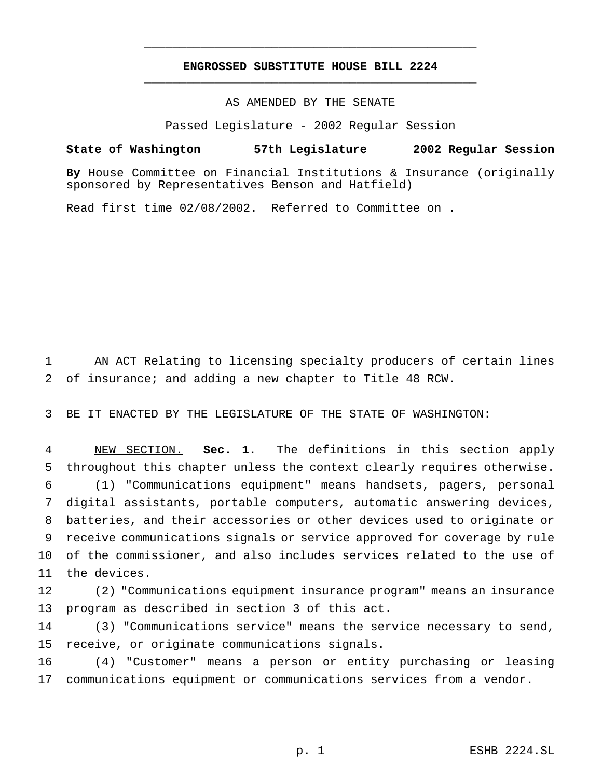## **ENGROSSED SUBSTITUTE HOUSE BILL 2224** \_\_\_\_\_\_\_\_\_\_\_\_\_\_\_\_\_\_\_\_\_\_\_\_\_\_\_\_\_\_\_\_\_\_\_\_\_\_\_\_\_\_\_\_\_\_\_

\_\_\_\_\_\_\_\_\_\_\_\_\_\_\_\_\_\_\_\_\_\_\_\_\_\_\_\_\_\_\_\_\_\_\_\_\_\_\_\_\_\_\_\_\_\_\_

AS AMENDED BY THE SENATE

Passed Legislature - 2002 Regular Session

## **State of Washington 57th Legislature 2002 Regular Session**

**By** House Committee on Financial Institutions & Insurance (originally sponsored by Representatives Benson and Hatfield)

Read first time 02/08/2002. Referred to Committee on .

 AN ACT Relating to licensing specialty producers of certain lines of insurance; and adding a new chapter to Title 48 RCW.

BE IT ENACTED BY THE LEGISLATURE OF THE STATE OF WASHINGTON:

 NEW SECTION. **Sec. 1.** The definitions in this section apply throughout this chapter unless the context clearly requires otherwise. (1) "Communications equipment" means handsets, pagers, personal digital assistants, portable computers, automatic answering devices, batteries, and their accessories or other devices used to originate or receive communications signals or service approved for coverage by rule of the commissioner, and also includes services related to the use of the devices.

 (2) "Communications equipment insurance program" means an insurance program as described in section 3 of this act.

 (3) "Communications service" means the service necessary to send, receive, or originate communications signals.

 (4) "Customer" means a person or entity purchasing or leasing communications equipment or communications services from a vendor.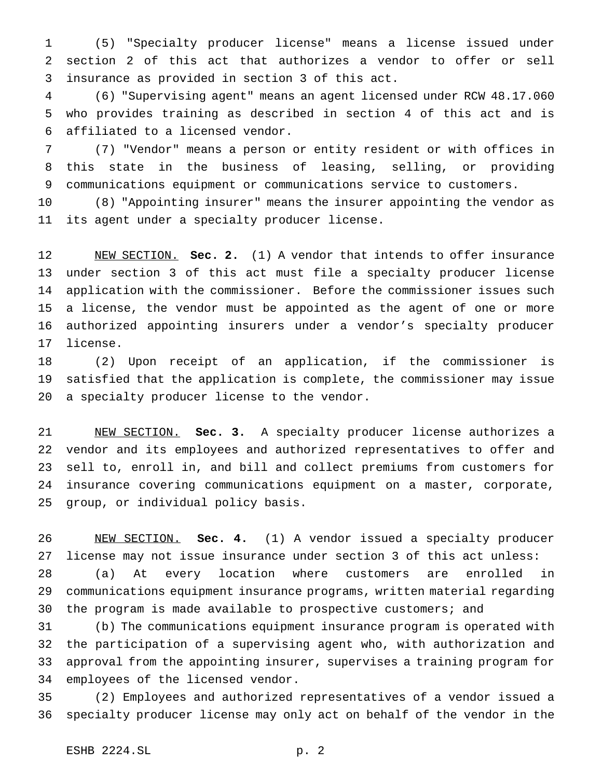(5) "Specialty producer license" means a license issued under section 2 of this act that authorizes a vendor to offer or sell insurance as provided in section 3 of this act.

 (6) "Supervising agent" means an agent licensed under RCW 48.17.060 who provides training as described in section 4 of this act and is affiliated to a licensed vendor.

 (7) "Vendor" means a person or entity resident or with offices in this state in the business of leasing, selling, or providing communications equipment or communications service to customers.

 (8) "Appointing insurer" means the insurer appointing the vendor as its agent under a specialty producer license.

 NEW SECTION. **Sec. 2.** (1) A vendor that intends to offer insurance under section 3 of this act must file a specialty producer license application with the commissioner. Before the commissioner issues such a license, the vendor must be appointed as the agent of one or more authorized appointing insurers under a vendor's specialty producer license.

 (2) Upon receipt of an application, if the commissioner is satisfied that the application is complete, the commissioner may issue a specialty producer license to the vendor.

 NEW SECTION. **Sec. 3.** A specialty producer license authorizes a vendor and its employees and authorized representatives to offer and sell to, enroll in, and bill and collect premiums from customers for insurance covering communications equipment on a master, corporate, group, or individual policy basis.

 NEW SECTION. **Sec. 4.** (1) A vendor issued a specialty producer license may not issue insurance under section 3 of this act unless: (a) At every location where customers are enrolled in communications equipment insurance programs, written material regarding the program is made available to prospective customers; and

 (b) The communications equipment insurance program is operated with the participation of a supervising agent who, with authorization and approval from the appointing insurer, supervises a training program for employees of the licensed vendor.

 (2) Employees and authorized representatives of a vendor issued a specialty producer license may only act on behalf of the vendor in the